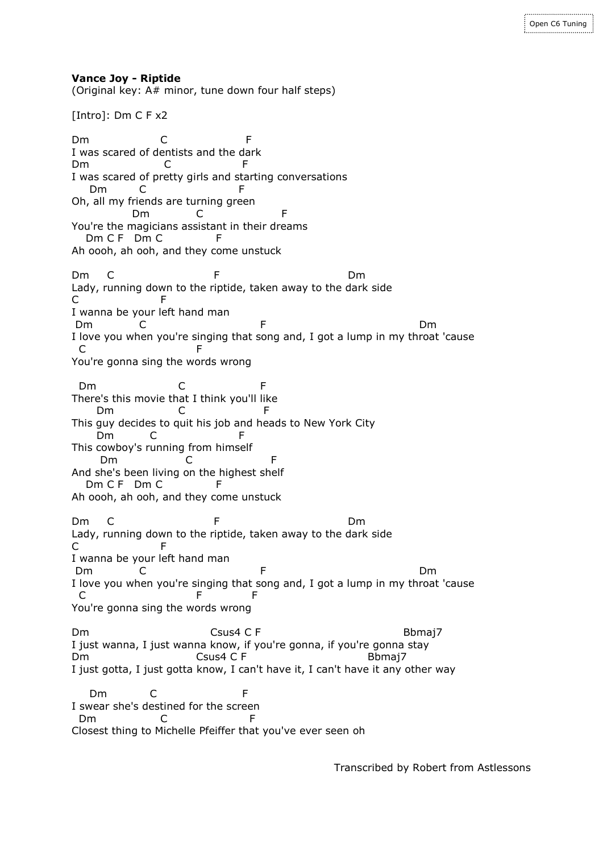**Vance Joy - Riptide**

(Original key: A# minor, tune down four half steps)

[Intro]: Dm C F x2

Dm C F I was scared of dentists and the dark Dm C F I was scared of pretty girls and starting conversations Dm C F Oh, all my friends are turning green Dm C F You're the magicians assistant in their dreams Dm C F Dm C F Ah oooh, ah ooh, and they come unstuck Dm C F Dm Lady, running down to the riptide, taken away to the dark side C F I wanna be your left hand man Dm C F Dm I love you when you're singing that song and, I got a lump in my throat 'cause C F You're gonna sing the words wrong Dm C F There's this movie that I think you'll like Dm C F This guy decides to quit his job and heads to New York City Dm C F This cowboy's running from himself Dm C And she's been living on the highest shelf Dm C F Dm C F Ah oooh, ah ooh, and they come unstuck Dm C F Dm Lady, running down to the riptide, taken away to the dark side C F I wanna be your left hand man Dm C F Dm I love you when you're singing that song and, I got a lump in my throat 'cause C F F You're gonna sing the words wrong Dm Csus4 C F Bbmaj7 I just wanna, I just wanna know, if you're gonna, if you're gonna stay Dm Csus4 C F Bbmaj7 I just gotta, I just gotta know, I can't have it, I can't have it any other way Dm C F I swear she's destined for the screen Dm C F Closest thing to Michelle Pfeiffer that you've ever seen oh

Transcribed by Robert from Astlessons